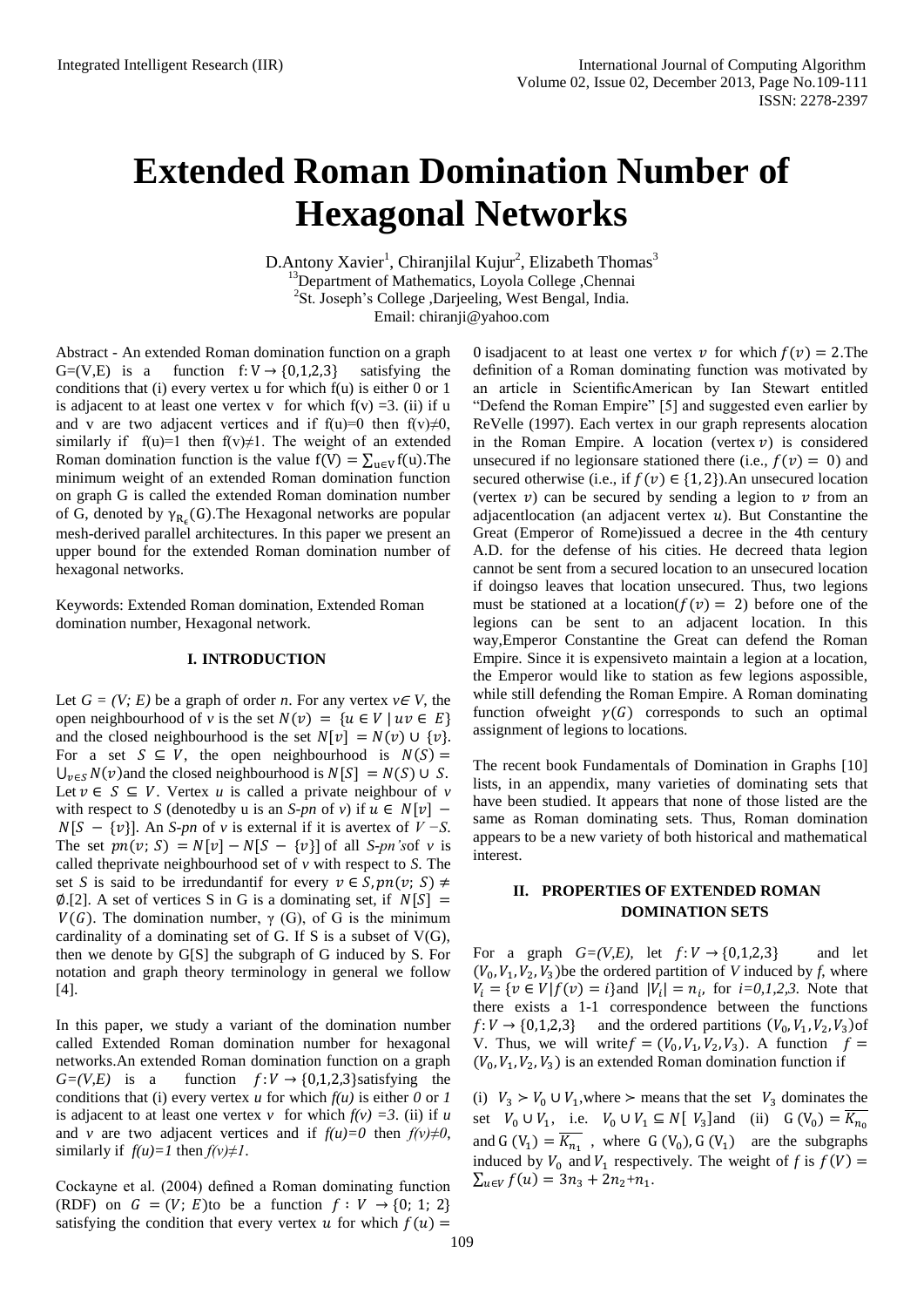# **Extended Roman Domination Number of Hexagonal Networks**

D.Antony Xavier<sup>1</sup>, Chiranjilal Kujur<sup>2</sup>, Elizabeth Thomas<sup>3</sup> <sup>13</sup>Department of Mathematics, Loyola College ,Chennai <sup>2</sup>St. Joseph's College ,Darjeeling, West Bengal, India. Email: chiranji@yahoo.com

Abstract - An extended Roman domination function on a graph G=(V,E) is a function  $f: V \rightarrow \{0,1,2,3\}$  satisfying the conditions that (i) every vertex u for which f(u) is either 0 or 1 is adjacent to at least one vertex v for which  $f(v) = 3$ . (ii) if u and v are two adjacent vertices and if f(u)=0 then f(v) $\neq$ 0, similarly if f(u)=1 then f(v) $\neq$ 1. The weight of an extended Roman domination function is the value  $f(V) = \sum_{u \in V} f(u)$ . The minimum weight of an extended Roman domination function on graph G is called the extended Roman domination number of G, denoted by  $\gamma_{R_c}(G)$ . The Hexagonal networks are popular mesh-derived parallel architectures. In this paper we present an upper bound for the extended Roman domination number of hexagonal networks.

Keywords: Extended Roman domination, Extended Roman domination number, Hexagonal network.

## **I. INTRODUCTION**

Let  $G = (V; E)$  be a graph of order *n*. For any vertex  $v \in V$ , the open neighbourhood of *v* is the set  $N(v) = \{u \in V \mid uv \in E\}$ and the closed neighbourhood is the set  $N[v] = N(v) \cup \{v\}$ . For a set  $S \subseteq V$ , the open neighbourhood is  $N(S) =$  $\bigcup_{v \in S} N(v)$  and the closed neighbourhood is  $N[S] = N(S) \cup S$ . Let  $v \in S \subseteq V$ . Vertex *u* is called a private neighbour of *v* with respect to *S* (denotedby u is an *S-pn* of *v*) if  $u \in N[v]$  –  $N[S - \{v\}]$ . An *S-pn* of *v* is external if it is avertex of  $V - S$ . The set  $pn(v; S) = N[v] - N[S - \{v\}]$  of all *S-pn's* of *v* is called theprivate neighbourhood set of *v* with respect to *S*. The set *S* is said to be irredundantif for every  $v \in S, pn(v; S) \neq$  $\emptyset$ .[2]. A set of vertices S in G is a dominating set, if  $N[S] =$  $V(G)$ . The domination number,  $\gamma$  (G), of G is the minimum cardinality of a dominating set of G. If S is a subset of  $V(G)$ , then we denote by G[S] the subgraph of G induced by S. For notation and graph theory terminology in general we follow [4].

In this paper, we study a variant of the domination number called Extended Roman domination number for hexagonal networks.An extended Roman domination function on a graph  $G=(V,E)$  is a function  $f:V\to\{0,1,2,3\}$  satisfying the conditions that (i) every vertex *u* for which  $f(u)$  is either *0* or *1* is adjacent to at least one vertex *v* for which  $f(v) = 3$ . (ii) if *u* and *v* are two adjacent vertices and if  $f(u)=0$  then  $f(v)\neq 0$ , similarly if  $f(u)=1$  then  $f(v)\neq 1$ .

Cockayne et al. (2004) defined a Roman dominating function (RDF) on  $G = (V; E)$  to be a function  $f: V \rightarrow \{0; 1; 2\}$ satisfying the condition that every vertex u for which  $f(u)$  =

0 isadiacent to at least one vertex v for which  $f(v) = 2$ . The definition of a Roman dominating function was motivated by an article in ScientificAmerican by Ian Stewart entitled "Defend the Roman Empire" [5] and suggested even earlier by ReVelle (1997). Each vertex in our graph represents alocation in the Roman Empire. A location (vertex  $v$ ) is considered unsecured if no legions are stationed there (i.e.,  $f(v) = 0$ ) and secured otherwise (i.e., if  $f(v) \in \{1, 2\}$ ).An unsecured location (vertex  $v$ ) can be secured by sending a legion to  $v$  from an adjacentlocation (an adjacent vertex  $u$ ). But Constantine the Great (Emperor of Rome)issued a decree in the 4th century A.D. for the defense of his cities. He decreed thata legion cannot be sent from a secured location to an unsecured location if doingso leaves that location unsecured. Thus, two legions must be stationed at a location( $f(v) = 2$ ) before one of the legions can be sent to an adjacent location. In this way,Emperor Constantine the Great can defend the Roman Empire. Since it is expensiveto maintain a legion at a location, the Emperor would like to station as few legions aspossible, while still defending the Roman Empire. A Roman dominating function of weight  $\gamma(G)$  corresponds to such an optimal assignment of legions to locations.

The recent book Fundamentals of Domination in Graphs [10] lists, in an appendix, many varieties of dominating sets that have been studied. It appears that none of those listed are the same as Roman dominating sets. Thus, Roman domination appears to be a new variety of both historical and mathematical interest.

# **II. PROPERTIES OF EXTENDED ROMAN DOMINATION SETS**

For a graph  $G=(V,E)$ , let  $f:V\to\{0,1,2,3\}$  and let  $(V_0, V_1, V_2, V_3)$  be the ordered partition of *V* induced by *f*, where  $V_i = \{ v \in V | f(v) = i \}$  and  $|V_i| = n_i$ , for  $i = 0, 1, 2, 3$ . Note that there exists a 1-1 correspondence between the functions  $f: V \to \{0, 1, 2, 3\}$  and the ordered partitions  $(V_0, V_1, V_2, V_3)$  of V. Thus, we will write  $f = (V_0, V_1, V_2, V_3)$ . A function  $(V_0, V_1, V_2, V_3)$  is an extended Roman domination function if

(i)  $V_3 > V_0 \cup V_1$ , where  $\geq$  means that the set  $V_3$  dominates the set  $V_0 \cup V_1$ , i.e.  $V_0 \cup V_1 \subseteq N[V_3]$  and (ii)  $G(V_0) =$ and  $G(V_1) = \overline{K_{n_1}}$ , where  $G(V_0)$ ,  $G(V_1)$  are the subgraphs induced by  $V_0$  and  $V_1$  respectively. The weight of f is  $f(V)$  =  $\sum_{u \in V} f(u) = 3n_3 + 2n_2 + n_1.$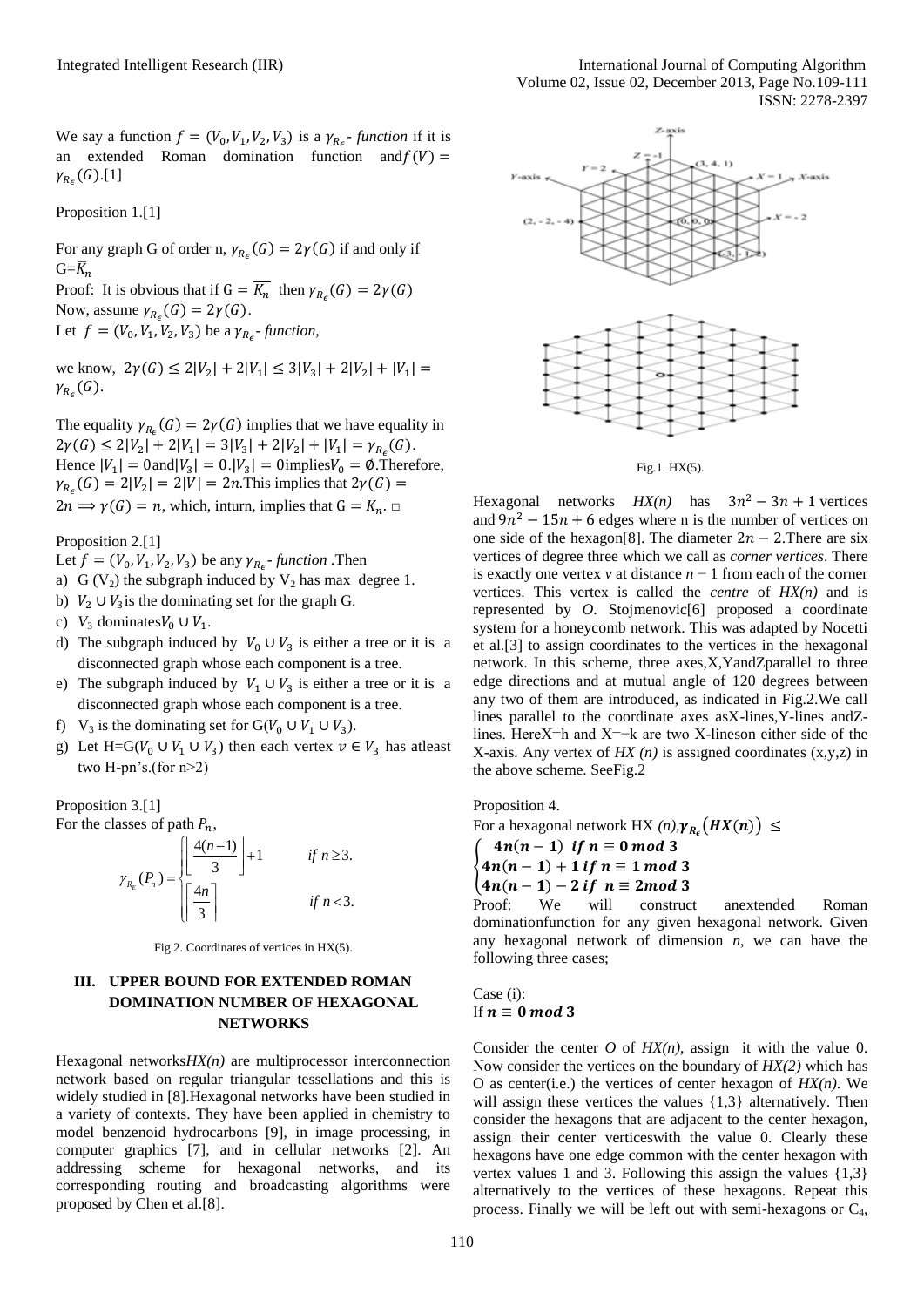We say a function  $f = (V_0, V_1, V_2, V_3)$  is a  $\gamma_{R_c}$ - function if it is an extended Roman domination function and  $f(V)$  =  $\gamma_{R_c}(G)$ .[1]

Proposition 1.[1]

For any graph G of order n,  $\gamma_{R_c}(G) = 2\gamma(G)$  if and only if  $G = \overline{K}_n$ 

Proof: It is obvious that if  $G = \overline{K_n}$  then  $\gamma_{R_n}(G) = 2\gamma(G)$ Now, assume  $\gamma_{R_{\epsilon}}(G) = 2\gamma(G)$ . Let  $f = (V_0, V_1, V_2, V_3)$  be a  $\gamma_{R_{\epsilon}}$ -function,

we know,  $2\gamma(G) \leq 2|V_2| + 2|V_1| \leq 3|V_3| + 2|V_2| + |V_1|$  $\gamma_{R_c}(G)$ .

The equality  $\gamma_{R_{\epsilon}}(G) = 2\gamma(G)$  implies that we have equality in  $2\gamma(G) \leq 2|V_2| + 2|V_1| = 3|V_3| + 2|V_2| + |V_1| = \gamma_{R_{\epsilon}}(G).$ Hence  $|V_1| = 0$  and  $|V_3| = 0$ .  $|V_3| = 0$  implies  $V_0 = \emptyset$ . Therefore,  $\gamma_{R_{\epsilon}}(G) = 2|V_2| = 2|V| = 2n$ . This implies that  $2\gamma(G) =$  $2n \Longrightarrow \gamma(G) = n$ , which, inturn, implies that  $G = \overline{K_n}$ .

Proposition 2.[1]

Let  $f = (V_0, V_1, V_2, V_3)$  be any  $\gamma_{R_c}$ - function . Then

- a) G ( $V_2$ ) the subgraph induced by  $V_2$  has max degree 1.
- b)  $V_2 \cup V_3$  is the dominating set for the graph G.
- c)  $V_3$  dominates  $V_0 \cup V_1$ .
- d) The subgraph induced by  $V_0 \cup V_3$  is either a tree or it is a disconnected graph whose each component is a tree.
- e) The subgraph induced by  $V_1 \cup V_3$  is either a tree or it is a disconnected graph whose each component is a tree.
- f)  $V_3$  is the dominating set for  $G(V_0 \cup V_1 \cup V_3)$ .
- g) Let H=G( $V_0 \cup V_1 \cup V_3$ ) then each vertex  $v \in V_3$  has atleast two H-pn's.(for n>2)

Proposition 3.[1]

For the classes of path  $P_n$ ,

asses of path 
$$
P_n
$$
,  
\n
$$
\gamma_{R_E}(P_n) = \begin{cases}\n\left| \frac{4(n-1)}{3} \right| + 1 & \text{if } n \ge 3. \\
\left| \frac{4n}{3} \right| & \text{if } n < 3.\n\end{cases}
$$

Fig.2. Coordinates of vertices in HX(5).

# **III. UPPER BOUND FOR EXTENDED ROMAN DOMINATION NUMBER OF HEXAGONAL NETWORKS**

Hexagonal networks*HX(n)* are multiprocessor interconnection network based on regular triangular tessellations and this is widely studied in [8].Hexagonal networks have been studied in a variety of contexts. They have been applied in chemistry to model benzenoid hydrocarbons [9], in image processing, in computer graphics [7], and in cellular networks [2]. An addressing scheme for hexagonal networks, and its corresponding routing and broadcasting algorithms were proposed by Chen et al.[8].



Fig.1. HX(5).

Hexagonal networks  $HX(n)$  has  $3n^2 - 3n + 1$  vertices and  $9n^2 - 15n + 6$  edges where n is the number of vertices on one side of the hexagon[8]. The diameter  $2n - 2$ . There are six vertices of degree three which we call as *corner vertices*. There is exactly one vertex *v* at distance *n* − 1 from each of the corner vertices. This vertex is called the *centre* of *HX(n)* and is represented by *O*. Stojmenovic[6] proposed a coordinate system for a honeycomb network. This was adapted by Nocetti et al.[3] to assign coordinates to the vertices in the hexagonal network. In this scheme, three axes,X,YandZparallel to three edge directions and at mutual angle of 120 degrees between any two of them are introduced, as indicated in Fig.2.We call lines parallel to the coordinate axes asX-lines,Y-lines andZlines. HereX=h and X=−k are two X-lineson either side of the X-axis. Any vertex of *HX (n)* is assigned coordinates (x,y,z) in the above scheme. SeeFig.2

Proposition 4.

For a hexagonal network HX  $(n)$ ,  $\gamma_{R_c}(H X(n)) \leq$ 

$$
\begin{cases}\n4n(n-1) \text{ if } n \equiv 0 \bmod 3 \\
4n(n-1)+1 \text{ if } n \equiv 1 \bmod 3\n\end{cases}
$$

 $(4n(n-1) - 2$  if  $n \equiv 2 \mod 3$ 

Proof: We will construct anextended Roman dominationfunction for any given hexagonal network. Given any hexagonal network of dimension *n*, we can have the following three cases;

Case (i): If  $n \equiv 0 \mod 3$ 

Consider the center  $O$  of  $HX(n)$ , assign it with the value 0. Now consider the vertices on the boundary of *HX(2)* which has O as center(i.e.) the vertices of center hexagon of *HX(n)*. We will assign these vertices the values  $\{1,3\}$  alternatively. Then consider the hexagons that are adjacent to the center hexagon, assign their center verticeswith the value 0. Clearly these hexagons have one edge common with the center hexagon with vertex values 1 and 3. Following this assign the values {1,3} alternatively to the vertices of these hexagons. Repeat this process. Finally we will be left out with semi-hexagons or C4,